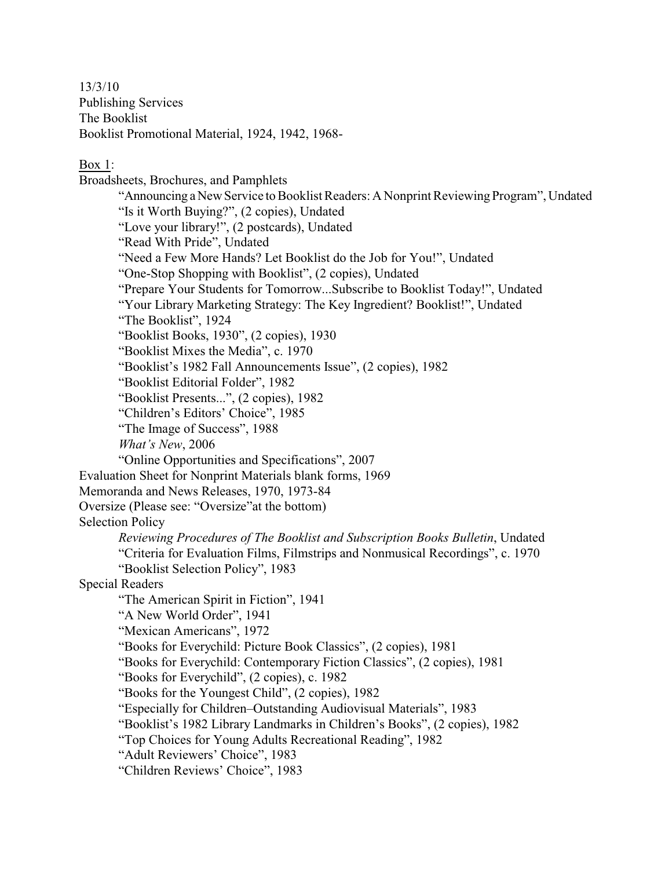13/3/10 Publishing Services The Booklist Booklist Promotional Material, 1924, 1942, 1968-

Box 1:

Broadsheets, Brochures, and Pamphlets "Announcing a New Service to Booklist Readers: A Nonprint Reviewing Program", Undated "Is it Worth Buying?", (2 copies), Undated "Love your library!", (2 postcards), Undated "Read With Pride", Undated "Need a Few More Hands? Let Booklist do the Job for You!", Undated "One-Stop Shopping with Booklist", (2 copies), Undated "Prepare Your Students for Tomorrow...Subscribe to Booklist Today!", Undated "Your Library Marketing Strategy: The Key Ingredient? Booklist!", Undated "The Booklist", 1924 "Booklist Books, 1930", (2 copies), 1930 "Booklist Mixes the Media", c. 1970 "Booklist's 1982 Fall Announcements Issue", (2 copies), 1982 "Booklist Editorial Folder", 1982 "Booklist Presents...", (2 copies), 1982 "Children's Editors' Choice", 1985 "The Image of Success", 1988 *What's New*, 2006 "Online Opportunities and Specifications", 2007 Evaluation Sheet for Nonprint Materials blank forms, 1969 Memoranda and News Releases, 1970, 1973-84 Oversize (Please see: "Oversize"at the bottom) Selection Policy *Reviewing Procedures of The Booklist and Subscription Books Bulletin*, Undated "Criteria for Evaluation Films, Filmstrips and Nonmusical Recordings", c. 1970 "Booklist Selection Policy", 1983 Special Readers "The American Spirit in Fiction", 1941 "A New World Order", 1941 "Mexican Americans", 1972 "Books for Everychild: Picture Book Classics", (2 copies), 1981 "Books for Everychild: Contemporary Fiction Classics", (2 copies), 1981 "Books for Everychild", (2 copies), c. 1982 "Books for the Youngest Child", (2 copies), 1982 "Especially for Children–Outstanding Audiovisual Materials", 1983 "Booklist's 1982 Library Landmarks in Children's Books", (2 copies), 1982 "Top Choices for Young Adults Recreational Reading", 1982 "Adult Reviewers' Choice", 1983 "Children Reviews' Choice", 1983